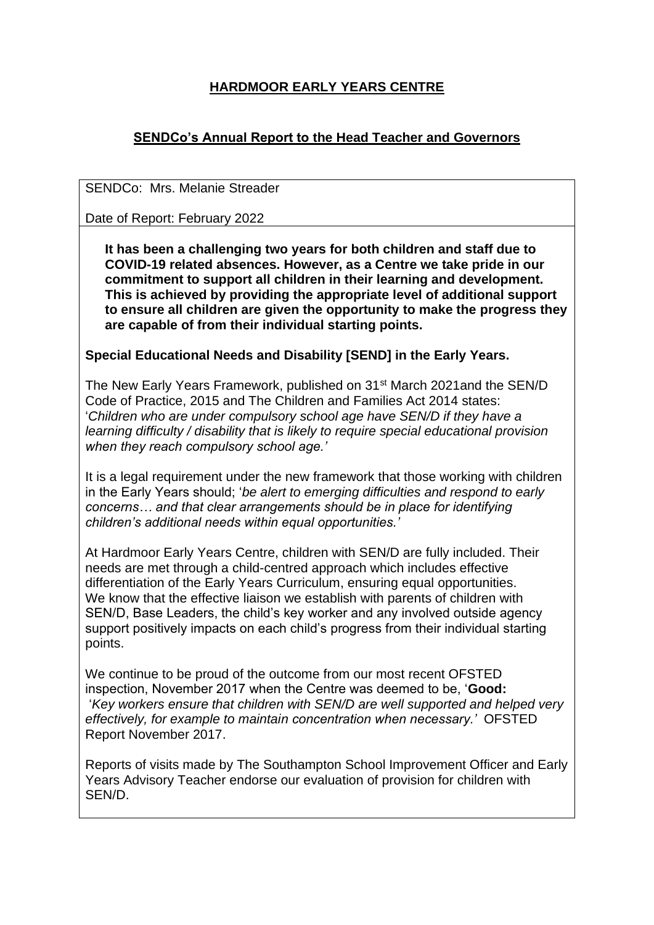# **HARDMOOR EARLY YEARS CENTRE**

# **SENDCo's Annual Report to the Head Teacher and Governors**

SENDCo: Mrs. Melanie Streader

Date of Report: February 2022

**It has been a challenging two years for both children and staff due to COVID-19 related absences. However, as a Centre we take pride in our commitment to support all children in their learning and development. This is achieved by providing the appropriate level of additional support to ensure all children are given the opportunity to make the progress they are capable of from their individual starting points.**

#### **Special Educational Needs and Disability [SEND] in the Early Years.**

The New Early Years Framework, published on 31<sup>st</sup> March 2021and the SEN/D Code of Practice, 2015 and The Children and Families Act 2014 states: '*Children who are under compulsory school age have SEN/D if they have a learning difficulty / disability that is likely to require special educational provision when they reach compulsory school age.'* 

It is a legal requirement under the new framework that those working with children in the Early Years should; '*be alert to emerging difficulties and respond to early concerns… and that clear arrangements should be in place for identifying children's additional needs within equal opportunities.'*

At Hardmoor Early Years Centre, children with SEN/D are fully included. Their needs are met through a child-centred approach which includes effective differentiation of the Early Years Curriculum, ensuring equal opportunities. We know that the effective liaison we establish with parents of children with SEN/D, Base Leaders, the child's key worker and any involved outside agency support positively impacts on each child's progress from their individual starting points.

We continue to be proud of the outcome from our most recent OFSTED inspection, November 2017 when the Centre was deemed to be, '**Good:**  '*Key workers ensure that children with SEN/D are well supported and helped very effectively, for example to maintain concentration when necessary.'* OFSTED Report November 2017.

Reports of visits made by The Southampton School Improvement Officer and Early Years Advisory Teacher endorse our evaluation of provision for children with SEN/D.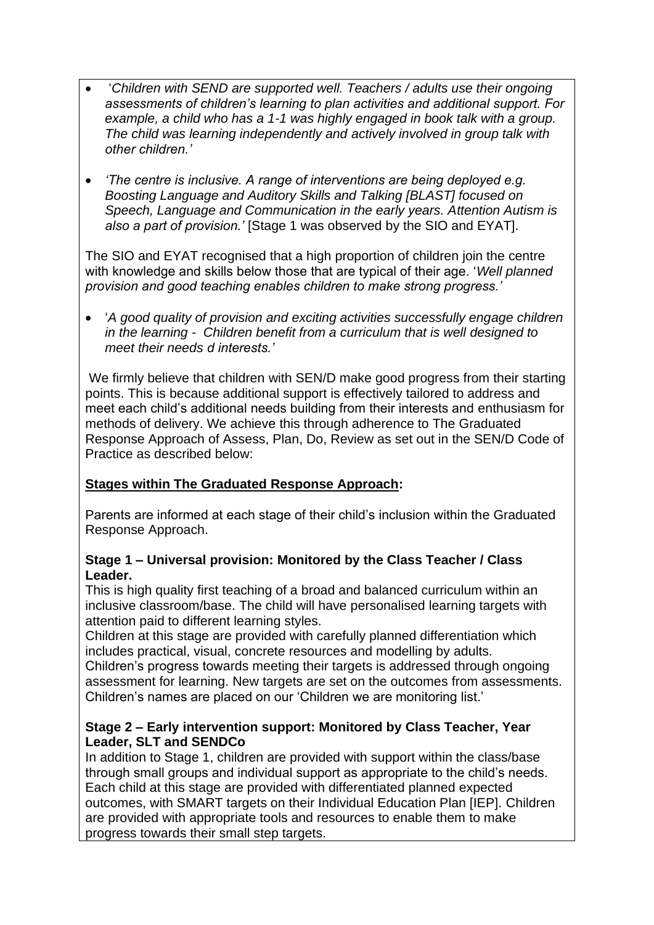- '*Children with SEND are supported well. Teachers / adults use their ongoing assessments of children's learning to plan activities and additional support. For example, a child who has a 1-1 was highly engaged in book talk with a group. The child was learning independently and actively involved in group talk with other children.'*
- *'The centre is inclusive. A range of interventions are being deployed e.g. Boosting Language and Auditory Skills and Talking [BLAST] focused on Speech, Language and Communication in the early years. Attention Autism is also a part of provision.'* [Stage 1 was observed by the SIO and EYAT].

The SIO and EYAT recognised that a high proportion of children join the centre with knowledge and skills below those that are typical of their age. '*Well planned provision and good teaching enables children to make strong progress.'*

• '*A good quality of provision and exciting activities successfully engage children in the learning - Children benefit from a curriculum that is well designed to meet their needs d interests.'*

We firmly believe that children with SEN/D make good progress from their starting points. This is because additional support is effectively tailored to address and meet each child's additional needs building from their interests and enthusiasm for methods of delivery. We achieve this through adherence to The Graduated Response Approach of Assess, Plan, Do, Review as set out in the SEN/D Code of Practice as described below:

### **Stages within The Graduated Response Approach:**

Parents are informed at each stage of their child's inclusion within the Graduated Response Approach.

#### **Stage 1 – Universal provision: Monitored by the Class Teacher / Class Leader.**

This is high quality first teaching of a broad and balanced curriculum within an inclusive classroom/base. The child will have personalised learning targets with attention paid to different learning styles.

Children at this stage are provided with carefully planned differentiation which includes practical, visual, concrete resources and modelling by adults.

Children's progress towards meeting their targets is addressed through ongoing assessment for learning. New targets are set on the outcomes from assessments. Children's names are placed on our 'Children we are monitoring list.'

### **Stage 2 – Early intervention support: Monitored by Class Teacher, Year Leader, SLT and SENDCo**

In addition to Stage 1, children are provided with support within the class/base through small groups and individual support as appropriate to the child's needs. Each child at this stage are provided with differentiated planned expected outcomes, with SMART targets on their Individual Education Plan [IEP]. Children are provided with appropriate tools and resources to enable them to make progress towards their small step targets.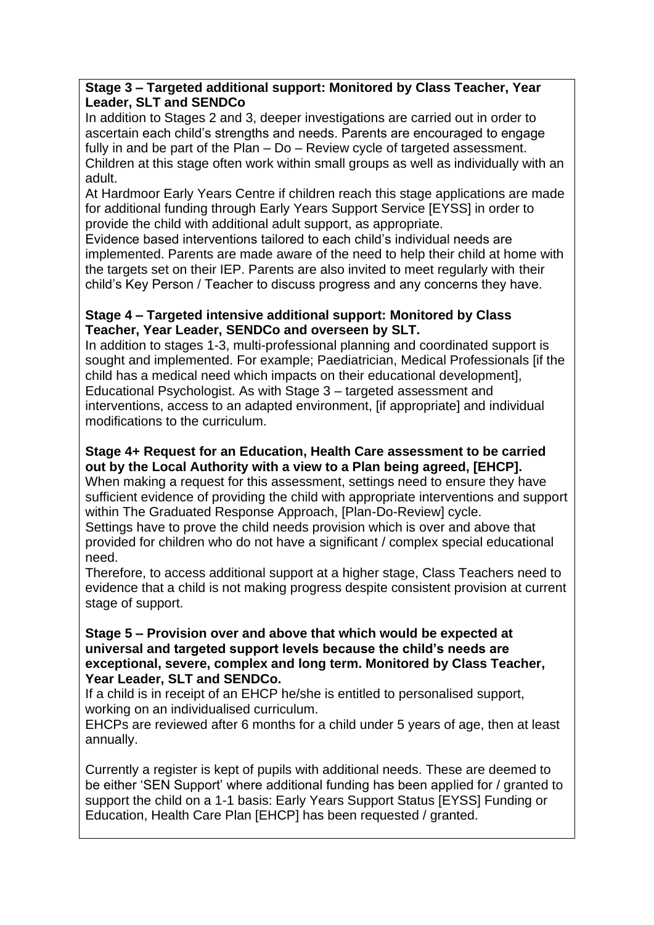### **Stage 3 – Targeted additional support: Monitored by Class Teacher, Year Leader, SLT and SENDCo**

In addition to Stages 2 and 3, deeper investigations are carried out in order to ascertain each child's strengths and needs. Parents are encouraged to engage fully in and be part of the Plan – Do – Review cycle of targeted assessment. Children at this stage often work within small groups as well as individually with an adult.

At Hardmoor Early Years Centre if children reach this stage applications are made for additional funding through Early Years Support Service [EYSS] in order to provide the child with additional adult support, as appropriate.

Evidence based interventions tailored to each child's individual needs are implemented. Parents are made aware of the need to help their child at home with the targets set on their IEP. Parents are also invited to meet regularly with their child's Key Person / Teacher to discuss progress and any concerns they have.

### **Stage 4 – Targeted intensive additional support: Monitored by Class Teacher, Year Leader, SENDCo and overseen by SLT.**

In addition to stages 1-3, multi-professional planning and coordinated support is sought and implemented. For example; Paediatrician, Medical Professionals [if the child has a medical need which impacts on their educational development], Educational Psychologist. As with Stage 3 – targeted assessment and interventions, access to an adapted environment, [if appropriate] and individual modifications to the curriculum.

## **Stage 4+ Request for an Education, Health Care assessment to be carried out by the Local Authority with a view to a Plan being agreed, [EHCP].**

When making a request for this assessment, settings need to ensure they have sufficient evidence of providing the child with appropriate interventions and support within The Graduated Response Approach, [Plan-Do-Review] cycle.

Settings have to prove the child needs provision which is over and above that provided for children who do not have a significant / complex special educational need.

Therefore, to access additional support at a higher stage, Class Teachers need to evidence that a child is not making progress despite consistent provision at current stage of support.

#### **Stage 5 – Provision over and above that which would be expected at universal and targeted support levels because the child's needs are exceptional, severe, complex and long term. Monitored by Class Teacher, Year Leader, SLT and SENDCo.**

If a child is in receipt of an EHCP he/she is entitled to personalised support, working on an individualised curriculum.

EHCPs are reviewed after 6 months for a child under 5 years of age, then at least annually.

Currently a register is kept of pupils with additional needs. These are deemed to be either 'SEN Support' where additional funding has been applied for / granted to support the child on a 1-1 basis: Early Years Support Status [EYSS] Funding or Education, Health Care Plan [EHCP] has been requested / granted.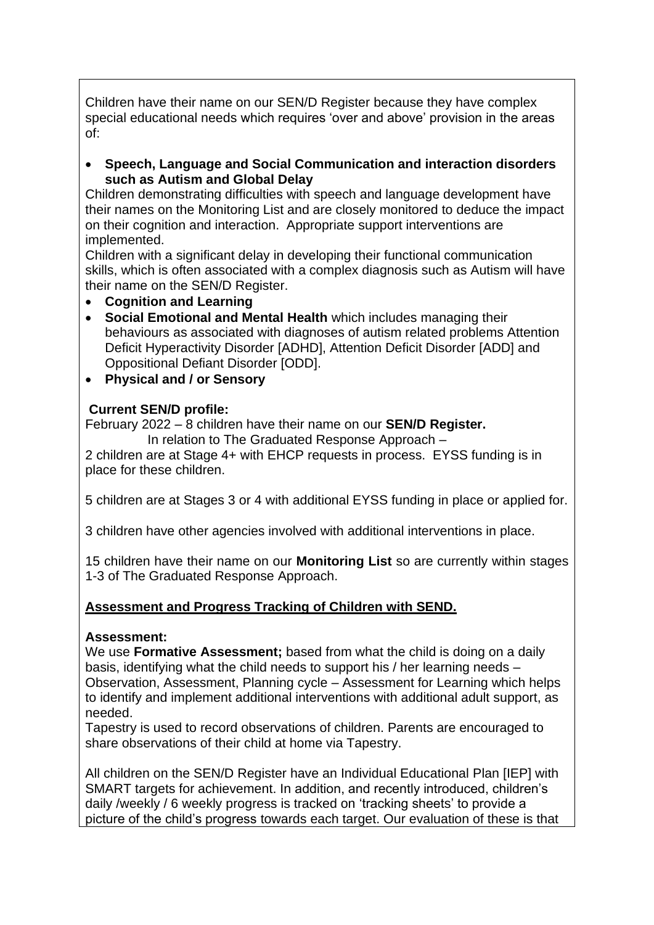Children have their name on our SEN/D Register because they have complex special educational needs which requires 'over and above' provision in the areas of:

• **Speech, Language and Social Communication and interaction disorders such as Autism and Global Delay**

Children demonstrating difficulties with speech and language development have their names on the Monitoring List and are closely monitored to deduce the impact on their cognition and interaction. Appropriate support interventions are implemented.

Children with a significant delay in developing their functional communication skills, which is often associated with a complex diagnosis such as Autism will have their name on the SEN/D Register.

- **Cognition and Learning**
- **Social Emotional and Mental Health** which includes managing their behaviours as associated with diagnoses of autism related problems Attention Deficit Hyperactivity Disorder [ADHD], Attention Deficit Disorder [ADD] and Oppositional Defiant Disorder [ODD].
- **Physical and / or Sensory**

#### **Current SEN/D profile:**

February 2022 – 8 children have their name on our **SEN/D Register.**

In relation to The Graduated Response Approach –

2 children are at Stage 4+ with EHCP requests in process. EYSS funding is in place for these children.

5 children are at Stages 3 or 4 with additional EYSS funding in place or applied for.

3 children have other agencies involved with additional interventions in place.

15 children have their name on our **Monitoring List** so are currently within stages 1-3 of The Graduated Response Approach.

### **Assessment and Progress Tracking of Children with SEND.**

#### **Assessment:**

We use **Formative Assessment;** based from what the child is doing on a daily basis, identifying what the child needs to support his / her learning needs – Observation, Assessment, Planning cycle – Assessment for Learning which helps to identify and implement additional interventions with additional adult support, as needed.

Tapestry is used to record observations of children. Parents are encouraged to share observations of their child at home via Tapestry.

All children on the SEN/D Register have an Individual Educational Plan [IEP] with SMART targets for achievement. In addition, and recently introduced, children's daily /weekly / 6 weekly progress is tracked on 'tracking sheets' to provide a picture of the child's progress towards each target. Our evaluation of these is that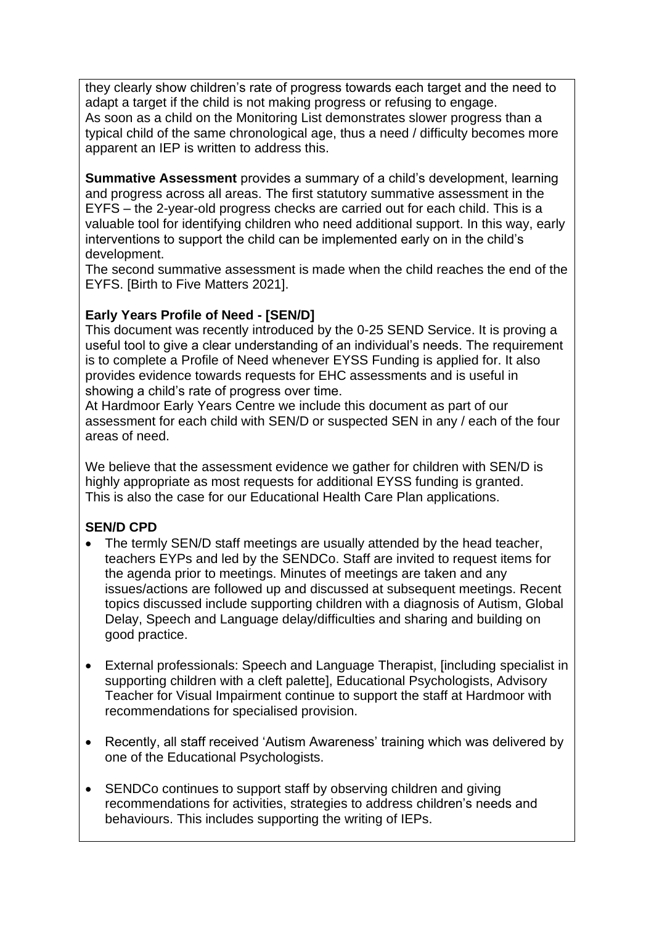they clearly show children's rate of progress towards each target and the need to adapt a target if the child is not making progress or refusing to engage. As soon as a child on the Monitoring List demonstrates slower progress than a typical child of the same chronological age, thus a need / difficulty becomes more apparent an IEP is written to address this.

**Summative Assessment** provides a summary of a child's development, learning and progress across all areas. The first statutory summative assessment in the EYFS – the 2-year-old progress checks are carried out for each child. This is a valuable tool for identifying children who need additional support. In this way, early interventions to support the child can be implemented early on in the child's development.

The second summative assessment is made when the child reaches the end of the EYFS. [Birth to Five Matters 2021].

## **Early Years Profile of Need - [SEN/D]**

This document was recently introduced by the 0-25 SEND Service. It is proving a useful tool to give a clear understanding of an individual's needs. The requirement is to complete a Profile of Need whenever EYSS Funding is applied for. It also provides evidence towards requests for EHC assessments and is useful in showing a child's rate of progress over time.

At Hardmoor Early Years Centre we include this document as part of our assessment for each child with SEN/D or suspected SEN in any / each of the four areas of need.

We believe that the assessment evidence we gather for children with SEN/D is highly appropriate as most requests for additional EYSS funding is granted. This is also the case for our Educational Health Care Plan applications.

# **SEN/D CPD**

- The termly SEN/D staff meetings are usually attended by the head teacher, teachers EYPs and led by the SENDCo. Staff are invited to request items for the agenda prior to meetings. Minutes of meetings are taken and any issues/actions are followed up and discussed at subsequent meetings. Recent topics discussed include supporting children with a diagnosis of Autism, Global Delay, Speech and Language delay/difficulties and sharing and building on good practice.
- External professionals: Speech and Language Therapist, [including specialist in supporting children with a cleft palette], Educational Psychologists, Advisory Teacher for Visual Impairment continue to support the staff at Hardmoor with recommendations for specialised provision.
- Recently, all staff received 'Autism Awareness' training which was delivered by one of the Educational Psychologists.
- SENDCo continues to support staff by observing children and giving recommendations for activities, strategies to address children's needs and behaviours. This includes supporting the writing of IEPs.